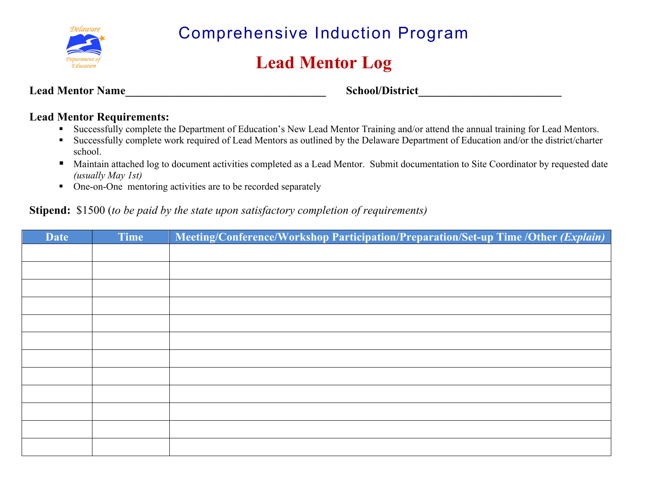

Comprehensive Induction Program

## **Lead Mentor Log**

Lead Mentor Name<br>
School/District

## **Lead Mentor Requirements:**

- Successfully complete the Department of Education's New Lead Mentor Training and/or attend the annual training for Lead Mentors.
- Successfully complete work required of Lead Mentors as outlined by the Delaware Department of Education and/or the district/charter school.
- Maintain attached log to document activities completed as a Lead Mentor. Submit documentation to Site Coordinator by requested date *(usually May 1st)*
- One-on-One mentoring activities are to be recorded separately

## **Stipend:** \$1500 (*to be paid by the state upon satisfactory completion of requirements)*

| <b>Date</b> | Time | Meeting/Conference/Workshop Participation/Preparation/Set-up Time /Other (Explain) |
|-------------|------|------------------------------------------------------------------------------------|
|             |      |                                                                                    |
|             |      |                                                                                    |
|             |      |                                                                                    |
|             |      |                                                                                    |
|             |      |                                                                                    |
|             |      |                                                                                    |
|             |      |                                                                                    |
|             |      |                                                                                    |
|             |      |                                                                                    |
|             |      |                                                                                    |
|             |      |                                                                                    |
|             |      |                                                                                    |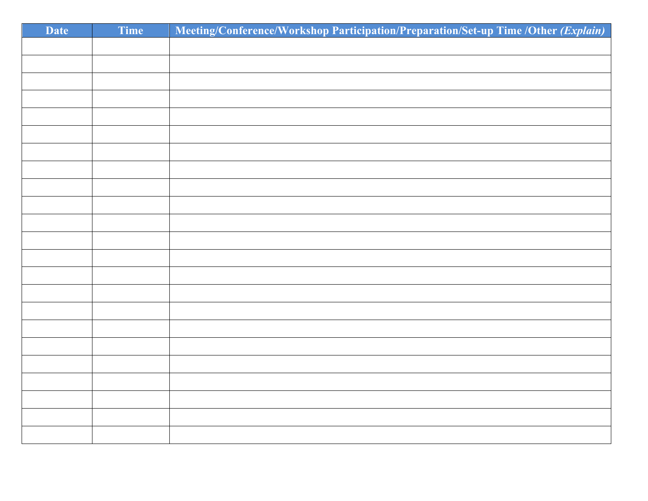| <b>Date</b> | Time | Meeting/Conference/Workshop Participation/Preparation/Set-up Time /Other (Explain) |
|-------------|------|------------------------------------------------------------------------------------|
|             |      |                                                                                    |
|             |      |                                                                                    |
|             |      |                                                                                    |
|             |      |                                                                                    |
|             |      |                                                                                    |
|             |      |                                                                                    |
|             |      |                                                                                    |
|             |      |                                                                                    |
|             |      |                                                                                    |
|             |      |                                                                                    |
|             |      |                                                                                    |
|             |      |                                                                                    |
|             |      |                                                                                    |
|             |      |                                                                                    |
|             |      |                                                                                    |
|             |      |                                                                                    |
|             |      |                                                                                    |
|             |      |                                                                                    |
|             |      |                                                                                    |
|             |      |                                                                                    |
|             |      |                                                                                    |
|             |      |                                                                                    |
|             |      |                                                                                    |
|             |      |                                                                                    |
|             |      |                                                                                    |